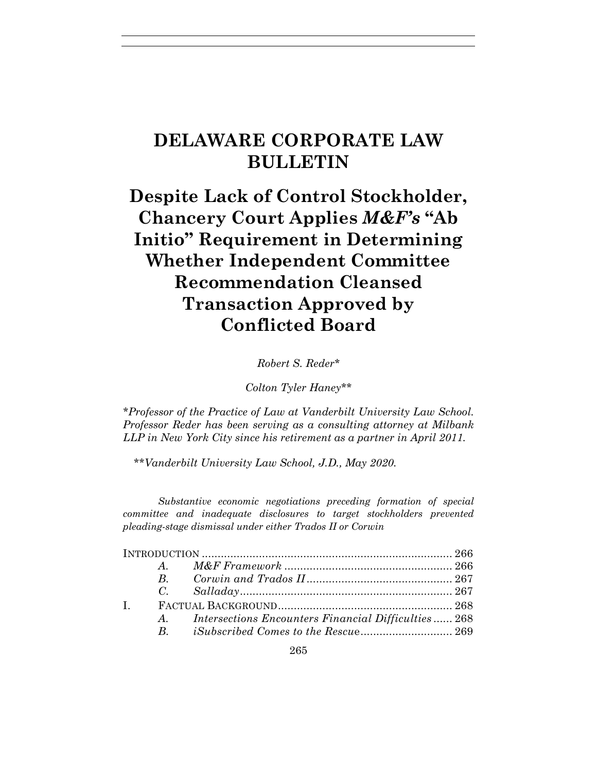## **DELAWARE CORPORATE LAW BULLETIN**

# **Despite Lack of Control Stockholder, Chancery Court Applies** *M&F's* **"Ab Initio" Requirement in Determining Whether Independent Committee Recommendation Cleansed Transaction Approved by Conflicted Board**

*Robert S. Reder\**

*Colton Tyler Haney\*\**

*\*Professor of the Practice of Law at Vanderbilt University Law School. Professor Reder has been serving as a consulting attorney at Milbank LLP in New York City since his retirement as a partner in April 2011.* 

*\*\*Vanderbilt University Law School, J.D., May 2020.*

*Substantive economic negotiations preceding formation of special committee and inadequate disclosures to target stockholders prevented pleading-stage dismissal under either Trados II or Corwin*

| $\mathbf{I}$ |  |                                                         |  |
|--------------|--|---------------------------------------------------------|--|
|              |  | A. Intersections Encounters Financial Difficulties  268 |  |
|              |  | B. <i>iSubscribed Comes to the Rescue</i> 269           |  |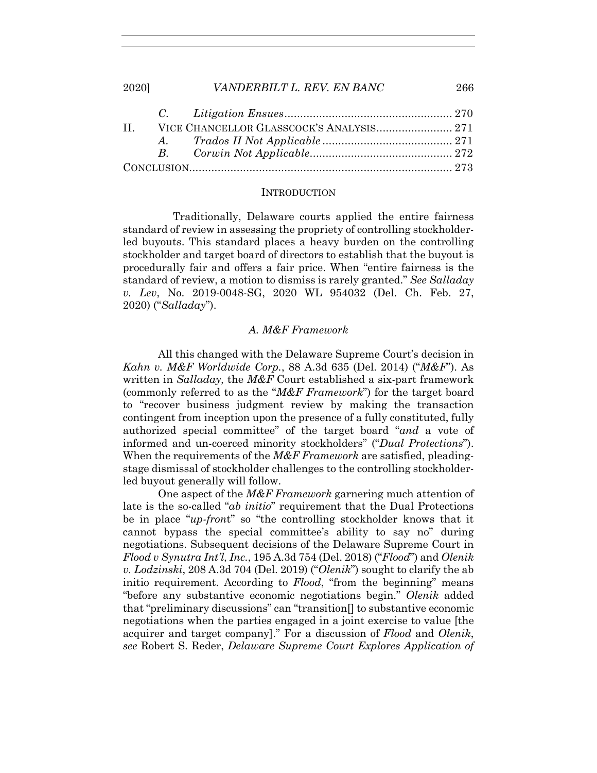|  | II. VICE CHANCELLOR GLASSCOCK'S ANALYSIS 271 |  |
|--|----------------------------------------------|--|
|  |                                              |  |
|  |                                              |  |
|  |                                              |  |

#### **INTRODUCTION**

 Traditionally, Delaware courts applied the entire fairness standard of review in assessing the propriety of controlling stockholderled buyouts. This standard places a heavy burden on the controlling stockholder and target board of directors to establish that the buyout is procedurally fair and offers a fair price. When "entire fairness is the standard of review, a motion to dismiss is rarely granted." *See Salladay v. Lev*, No. 2019-0048-SG, 2020 WL 954032 (Del. Ch. Feb. 27, 2020) ("*Salladay*").

## *A. M&F Framework*

All this changed with the Delaware Supreme Court's decision in *Kahn v. M&F Worldwide Corp.*, 88 A.3d 635 (Del. 2014) ("*M&F*"). As written in *Salladay,* the *M&F* Court established a six-part framework (commonly referred to as the "*M&F Framework*") for the target board to "recover business judgment review by making the transaction contingent from inception upon the presence of a fully constituted, fully authorized special committee" of the target board "*and* a vote of informed and un-coerced minority stockholders" ("*Dual Protections*"). When the requirements of the *M&F Framework* are satisfied, pleadingstage dismissal of stockholder challenges to the controlling stockholderled buyout generally will follow.

One aspect of the *M&F Framework* garnering much attention of late is the so-called "*ab initio*" requirement that the Dual Protections be in place "*up-fron*t" so "the controlling stockholder knows that it cannot bypass the special committee's ability to say no" during negotiations. Subsequent decisions of the Delaware Supreme Court in *Flood v Synutra Int'l, Inc.*, 195 A.3d 754 (Del. 2018) ("*Flood*") and *Olenik v. Lodzinski*, 208 A.3d 704 (Del. 2019) ("*Olenik*") sought to clarify the ab initio requirement. According to *Flood*, "from the beginning" means "before any substantive economic negotiations begin." *Olenik* added that "preliminary discussions" can "transition[] to substantive economic negotiations when the parties engaged in a joint exercise to value [the acquirer and target company]." For a discussion of *Flood* and *Olenik*, *see* Robert S. Reder, *Delaware Supreme Court Explores Application of*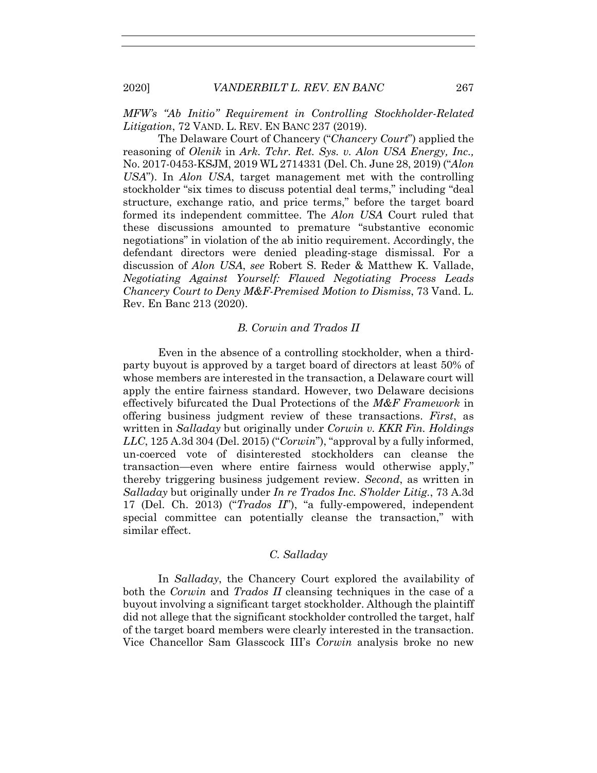*MFW's "Ab Initio" Requirement in Controlling Stockholder-Related Litigation*, 72 VAND. L. REV. EN BANC 237 (2019).

The Delaware Court of Chancery ("*Chancery Court*") applied the reasoning of *Olenik* in *Ark. Tchr. Ret. Sys. v. Alon USA Energy, Inc.,*  No. 2017-0453-KSJM, 2019 WL 2714331 (Del. Ch. June 28, 2019) ("*Alon USA*"). In *Alon USA*, target management met with the controlling stockholder "six times to discuss potential deal terms," including "deal structure, exchange ratio, and price terms," before the target board formed its independent committee. The *Alon USA* Court ruled that these discussions amounted to premature "substantive economic negotiations" in violation of the ab initio requirement. Accordingly, the defendant directors were denied pleading-stage dismissal. For a discussion of *Alon USA*, *see* Robert S. Reder & Matthew K. Vallade, *Negotiating Against Yourself: Flawed Negotiating Process Leads Chancery Court to Deny M&F-Premised Motion to Dismiss*, 73 Vand. L. Rev. En Banc 213 (2020).

### *B. Corwin and Trados II*

Even in the absence of a controlling stockholder, when a thirdparty buyout is approved by a target board of directors at least 50% of whose members are interested in the transaction, a Delaware court will apply the entire fairness standard. However, two Delaware decisions effectively bifurcated the Dual Protections of the *M&F Framework* in offering business judgment review of these transactions. *First*, as written in *Salladay* but originally under *Corwin v. KKR Fin. Holdings LLC*, 125 A.3d 304 (Del. 2015) ("*Corwin*"), "approval by a fully informed, un-coerced vote of disinterested stockholders can cleanse the transaction—even where entire fairness would otherwise apply," thereby triggering business judgement review. *Second*, as written in *Salladay* but originally under *In re Trados Inc. S'holder Litig.*, 73 A.3d 17 (Del. Ch. 2013) ("*Trados II*"), "a fully-empowered, independent special committee can potentially cleanse the transaction," with similar effect.

#### *C. Salladay*

In *Salladay*, the Chancery Court explored the availability of both the *Corwin* and *Trados II* cleansing techniques in the case of a buyout involving a significant target stockholder. Although the plaintiff did not allege that the significant stockholder controlled the target, half of the target board members were clearly interested in the transaction. Vice Chancellor Sam Glasscock III's *Corwin* analysis broke no new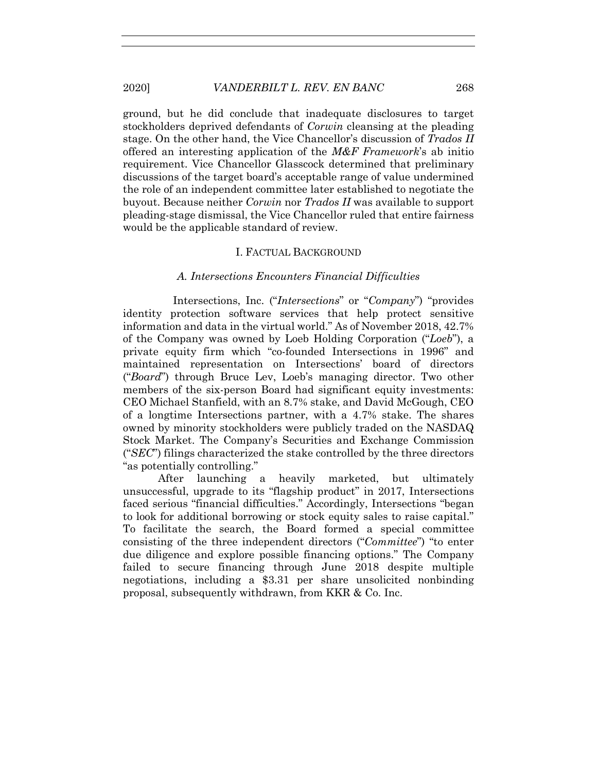ground, but he did conclude that inadequate disclosures to target stockholders deprived defendants of *Corwin* cleansing at the pleading stage. On the other hand, the Vice Chancellor's discussion of *Trados II*  offered an interesting application of the *M&F Framework*'s ab initio requirement. Vice Chancellor Glasscock determined that preliminary discussions of the target board's acceptable range of value undermined the role of an independent committee later established to negotiate the buyout. Because neither *Corwin* nor *Trados II* was available to support pleading-stage dismissal, the Vice Chancellor ruled that entire fairness would be the applicable standard of review.

## I. FACTUAL BACKGROUND

## *A. Intersections Encounters Financial Difficulties*

 Intersections, Inc. ("*Intersections*" or "*Company*") "provides identity protection software services that help protect sensitive information and data in the virtual world." As of November 2018, 42.7% of the Company was owned by Loeb Holding Corporation ("*Loeb*"), a private equity firm which "co-founded Intersections in 1996" and maintained representation on Intersections' board of directors ("*Board*") through Bruce Lev, Loeb's managing director. Two other members of the six-person Board had significant equity investments: CEO Michael Stanfield, with an 8.7% stake, and David McGough, CEO of a longtime Intersections partner, with a 4.7% stake. The shares owned by minority stockholders were publicly traded on the NASDAQ Stock Market. The Company's Securities and Exchange Commission ("*SEC*") filings characterized the stake controlled by the three directors "as potentially controlling."

After launching a heavily marketed, but ultimately unsuccessful, upgrade to its "flagship product" in 2017, Intersections faced serious "financial difficulties." Accordingly, Intersections "began to look for additional borrowing or stock equity sales to raise capital." To facilitate the search, the Board formed a special committee consisting of the three independent directors ("*Committee*") "to enter due diligence and explore possible financing options." The Company failed to secure financing through June 2018 despite multiple negotiations, including a \$3.31 per share unsolicited nonbinding proposal, subsequently withdrawn, from KKR & Co. Inc.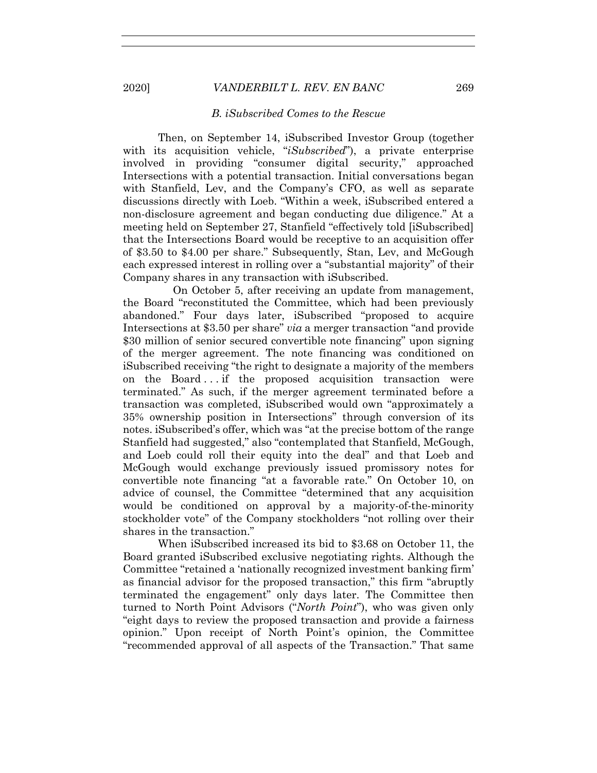## *B. iSubscribed Comes to the Rescue*

Then, on September 14, iSubscribed Investor Group (together with its acquisition vehicle, "*iSubscribed*"), a private enterprise involved in providing "consumer digital security," approached Intersections with a potential transaction. Initial conversations began with Stanfield, Lev, and the Company's CFO, as well as separate discussions directly with Loeb. "Within a week, iSubscribed entered a non-disclosure agreement and began conducting due diligence." At a meeting held on September 27, Stanfield "effectively told [iSubscribed] that the Intersections Board would be receptive to an acquisition offer of \$3.50 to \$4.00 per share." Subsequently, Stan, Lev, and McGough each expressed interest in rolling over a "substantial majority" of their Company shares in any transaction with iSubscribed.

 On October 5, after receiving an update from management, the Board "reconstituted the Committee, which had been previously abandoned." Four days later, iSubscribed "proposed to acquire Intersections at \$3.50 per share" *via* a merger transaction "and provide \$30 million of senior secured convertible note financing" upon signing of the merger agreement. The note financing was conditioned on iSubscribed receiving "the right to designate a majority of the members on the Board . . . if the proposed acquisition transaction were terminated." As such, if the merger agreement terminated before a transaction was completed, iSubscribed would own "approximately a 35% ownership position in Intersections" through conversion of its notes. iSubscribed's offer, which was "at the precise bottom of the range Stanfield had suggested," also "contemplated that Stanfield, McGough, and Loeb could roll their equity into the deal" and that Loeb and McGough would exchange previously issued promissory notes for convertible note financing "at a favorable rate." On October 10, on advice of counsel, the Committee "determined that any acquisition would be conditioned on approval by a majority-of-the-minority stockholder vote" of the Company stockholders "not rolling over their shares in the transaction."

When iSubscribed increased its bid to \$3.68 on October 11, the Board granted iSubscribed exclusive negotiating rights. Although the Committee "retained a 'nationally recognized investment banking firm' as financial advisor for the proposed transaction," this firm "abruptly terminated the engagement" only days later. The Committee then turned to North Point Advisors ("*North Point*"), who was given only "eight days to review the proposed transaction and provide a fairness opinion." Upon receipt of North Point's opinion, the Committee "recommended approval of all aspects of the Transaction." That same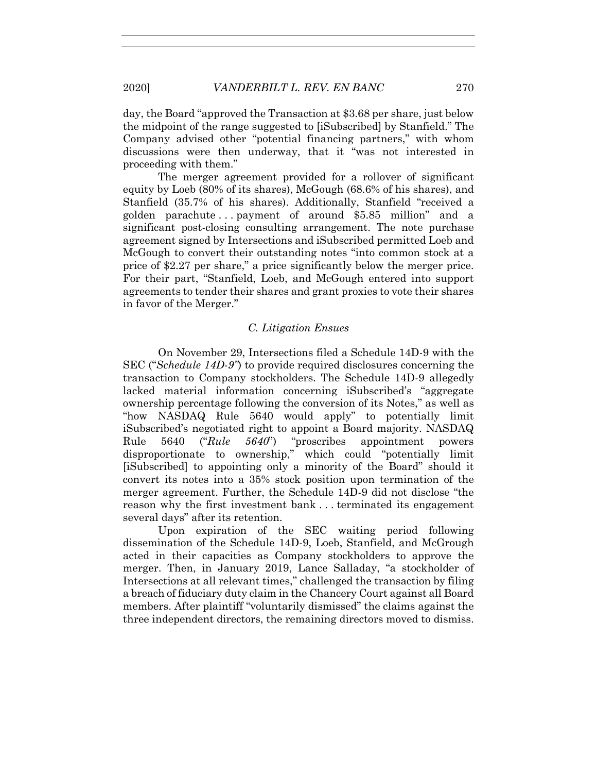day, the Board "approved the Transaction at \$3.68 per share, just below the midpoint of the range suggested to [iSubscribed] by Stanfield." The Company advised other "potential financing partners," with whom discussions were then underway, that it "was not interested in proceeding with them."

The merger agreement provided for a rollover of significant equity by Loeb (80% of its shares), McGough (68.6% of his shares), and Stanfield (35.7% of his shares). Additionally, Stanfield "received a golden parachute . . . payment of around \$5.85 million" and a significant post-closing consulting arrangement. The note purchase agreement signed by Intersections and iSubscribed permitted Loeb and McGough to convert their outstanding notes "into common stock at a price of \$2.27 per share," a price significantly below the merger price. For their part, "Stanfield, Loeb, and McGough entered into support agreements to tender their shares and grant proxies to vote their shares in favor of the Merger."

## *C. Litigation Ensues*

On November 29, Intersections filed a Schedule 14D-9 with the SEC ("*Schedule 14D-9"*) to provide required disclosures concerning the transaction to Company stockholders. The Schedule 14D-9 allegedly lacked material information concerning iSubscribed's "aggregate ownership percentage following the conversion of its Notes," as well as "how NASDAQ Rule 5640 would apply" to potentially limit iSubscribed's negotiated right to appoint a Board majority. NASDAQ Rule 5640 ("*Rule 5640*") "proscribes appointment powers disproportionate to ownership," which could "potentially limit [iSubscribed] to appointing only a minority of the Board" should it convert its notes into a 35% stock position upon termination of the merger agreement. Further, the Schedule 14D-9 did not disclose "the reason why the first investment bank . . . terminated its engagement several days" after its retention.

Upon expiration of the SEC waiting period following dissemination of the Schedule 14D-9, Loeb, Stanfield, and McGrough acted in their capacities as Company stockholders to approve the merger. Then, in January 2019, Lance Salladay, "a stockholder of Intersections at all relevant times," challenged the transaction by filing a breach of fiduciary duty claim in the Chancery Court against all Board members. After plaintiff "voluntarily dismissed" the claims against the three independent directors, the remaining directors moved to dismiss.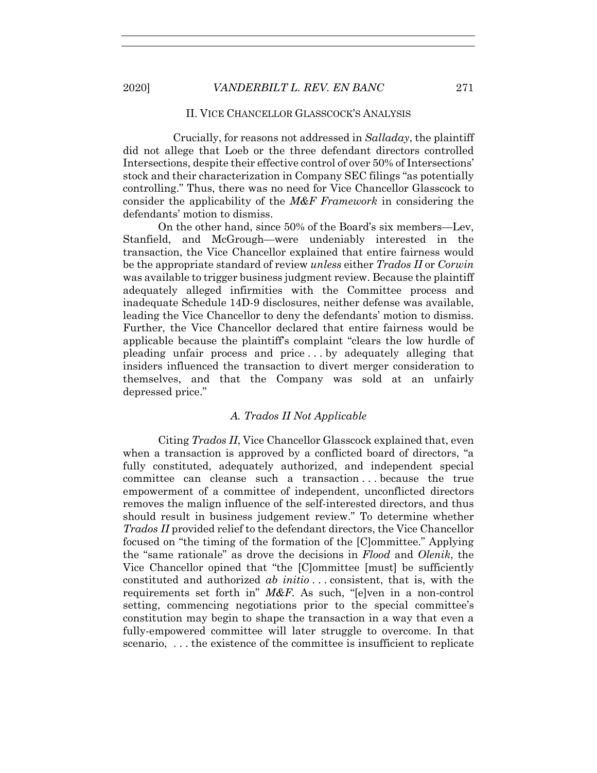## II. VICE CHANCELLOR GLASSCOCK'S ANALYSIS

 Crucially, for reasons not addressed in *Salladay*, the plaintiff did not allege that Loeb or the three defendant directors controlled Intersections, despite their effective control of over 50% of Intersections' stock and their characterization in Company SEC filings "as potentially controlling." Thus, there was no need for Vice Chancellor Glasscock to consider the applicability of the *M&F Framework* in considering the defendants' motion to dismiss.

On the other hand, since 50% of the Board's six members—Lev, Stanfield, and McGrough—were undeniably interested in the transaction, the Vice Chancellor explained that entire fairness would be the appropriate standard of review *unless* either *Trados II* or *Corwin* was available to trigger business judgment review. Because the plaintiff adequately alleged infirmities with the Committee process and inadequate Schedule 14D-9 disclosures, neither defense was available, leading the Vice Chancellor to deny the defendants' motion to dismiss. Further, the Vice Chancellor declared that entire fairness would be applicable because the plaintiff's complaint "clears the low hurdle of pleading unfair process and price . . . by adequately alleging that insiders influenced the transaction to divert merger consideration to themselves, and that the Company was sold at an unfairly depressed price."

### *A. Trados II Not Applicable*

Citing *Trados II*, Vice Chancellor Glasscock explained that, even when a transaction is approved by a conflicted board of directors, "a fully constituted, adequately authorized, and independent special committee can cleanse such a transaction . . . because the true empowerment of a committee of independent, unconflicted directors removes the malign influence of the self-interested directors, and thus should result in business judgement review." To determine whether *Trados II* provided relief to the defendant directors, the Vice Chancellor focused on "the timing of the formation of the [C]ommittee." Applying the "same rationale" as drove the decisions in *Flood* and *Olenik*, the Vice Chancellor opined that "the [C]ommittee [must] be sufficiently constituted and authorized *ab initio* . . . consistent, that is, with the requirements set forth in" *M&F*. As such, "[e]ven in a non-control setting, commencing negotiations prior to the special committee's constitution may begin to shape the transaction in a way that even a fully-empowered committee will later struggle to overcome. In that scenario, ... the existence of the committee is insufficient to replicate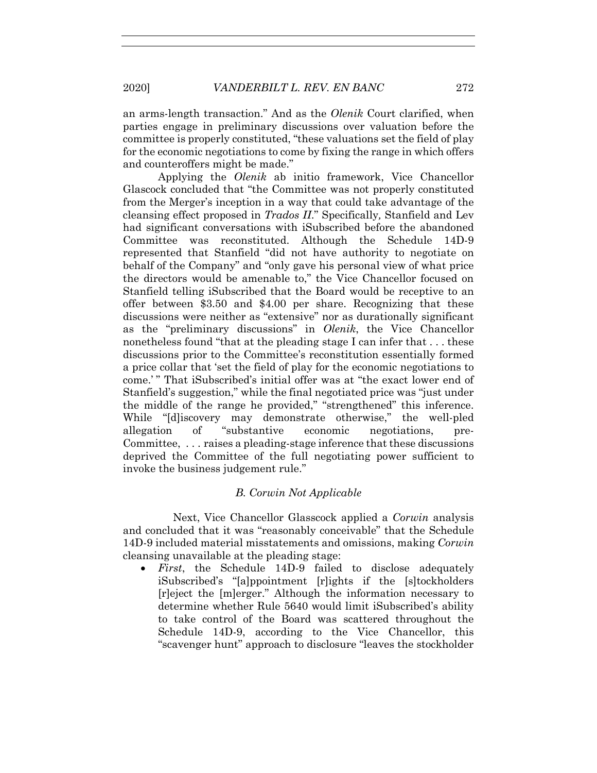an arms-length transaction." And as the *Olenik* Court clarified, when parties engage in preliminary discussions over valuation before the committee is properly constituted, "these valuations set the field of play for the economic negotiations to come by fixing the range in which offers and counteroffers might be made."

Applying the *Olenik* ab initio framework, Vice Chancellor Glascock concluded that "the Committee was not properly constituted from the Merger's inception in a way that could take advantage of the cleansing effect proposed in *Trados II*." Specifically*,* Stanfield and Lev had significant conversations with iSubscribed before the abandoned Committee was reconstituted. Although the Schedule 14D-9 represented that Stanfield "did not have authority to negotiate on behalf of the Company" and "only gave his personal view of what price the directors would be amenable to," the Vice Chancellor focused on Stanfield telling iSubscribed that the Board would be receptive to an offer between \$3.50 and \$4.00 per share. Recognizing that these discussions were neither as "extensive" nor as durationally significant as the "preliminary discussions" in *Olenik*, the Vice Chancellor nonetheless found "that at the pleading stage I can infer that . . . these discussions prior to the Committee's reconstitution essentially formed a price collar that 'set the field of play for the economic negotiations to come.' " That iSubscribed's initial offer was at "the exact lower end of Stanfield's suggestion," while the final negotiated price was "just under the middle of the range he provided," "strengthened" this inference. While "[d]iscovery may demonstrate otherwise," the well-pled allegation of "substantive economic negotiations, pre-Committee, . . . raises a pleading-stage inference that these discussions deprived the Committee of the full negotiating power sufficient to invoke the business judgement rule."

## *B. Corwin Not Applicable*

 Next, Vice Chancellor Glasscock applied a *Corwin* analysis and concluded that it was "reasonably conceivable" that the Schedule 14D-9 included material misstatements and omissions, making *Corwin* cleansing unavailable at the pleading stage:

• *First*, the Schedule 14D-9 failed to disclose adequately iSubscribed's "[a]ppointment [r]ights if the [s]tockholders [r]eject the [m]erger." Although the information necessary to determine whether Rule 5640 would limit iSubscribed's ability to take control of the Board was scattered throughout the Schedule 14D-9, according to the Vice Chancellor, this "scavenger hunt" approach to disclosure "leaves the stockholder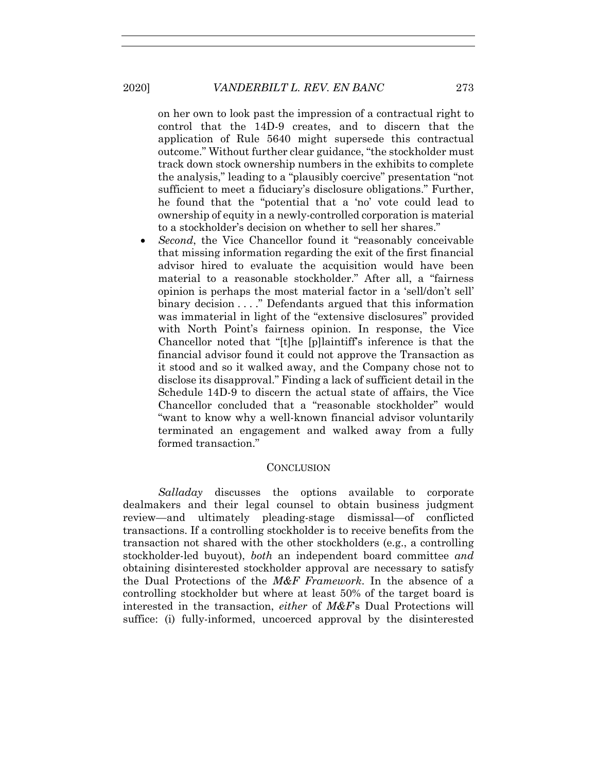on her own to look past the impression of a contractual right to control that the 14D-9 creates, and to discern that the application of Rule 5640 might supersede this contractual outcome." Without further clear guidance, "the stockholder must track down stock ownership numbers in the exhibits to complete the analysis," leading to a "plausibly coercive" presentation "not sufficient to meet a fiduciary's disclosure obligations." Further, he found that the "potential that a 'no' vote could lead to ownership of equity in a newly-controlled corporation is material to a stockholder's decision on whether to sell her shares."

• *Second*, the Vice Chancellor found it "reasonably conceivable" that missing information regarding the exit of the first financial advisor hired to evaluate the acquisition would have been material to a reasonable stockholder." After all, a "fairness opinion is perhaps the most material factor in a 'sell/don't sell' binary decision . . . ." Defendants argued that this information was immaterial in light of the "extensive disclosures" provided with North Point's fairness opinion. In response, the Vice Chancellor noted that "[t]he [p]laintiff's inference is that the financial advisor found it could not approve the Transaction as it stood and so it walked away, and the Company chose not to disclose its disapproval." Finding a lack of sufficient detail in the Schedule 14D-9 to discern the actual state of affairs, the Vice Chancellor concluded that a "reasonable stockholder" would "want to know why a well-known financial advisor voluntarily terminated an engagement and walked away from a fully formed transaction."

## **CONCLUSION**

*Salladay* discusses the options available to corporate dealmakers and their legal counsel to obtain business judgment review—and ultimately pleading-stage dismissal—of conflicted transactions. If a controlling stockholder is to receive benefits from the transaction not shared with the other stockholders (e.g., a controlling stockholder-led buyout), *both* an independent board committee *and* obtaining disinterested stockholder approval are necessary to satisfy the Dual Protections of the *M&F Framework*. In the absence of a controlling stockholder but where at least 50% of the target board is interested in the transaction, *either* of *M&F*'s Dual Protections will suffice: (i) fully-informed, uncoerced approval by the disinterested